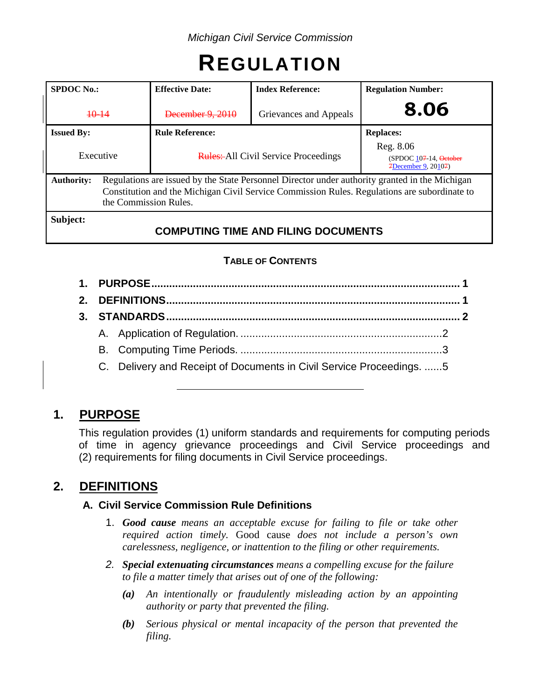# **REGULATION**

| <b>SPDOC</b> No.: |  | <b>Index Reference:</b><br><b>Effective Date:</b>                                                                                                                                                                       |                                            | <b>Regulation Number:</b>                                  |  |  |
|-------------------|--|-------------------------------------------------------------------------------------------------------------------------------------------------------------------------------------------------------------------------|--------------------------------------------|------------------------------------------------------------|--|--|
| $+0-14$           |  | December 9, 2010                                                                                                                                                                                                        | Grievances and Appeals                     | 8.06                                                       |  |  |
| <b>Issued By:</b> |  | <b>Rule Reference:</b>                                                                                                                                                                                                  |                                            | <b>Replaces:</b>                                           |  |  |
| Executive         |  | <b>Rules:</b> All Civil Service Proceedings                                                                                                                                                                             |                                            | Reg. 8.06<br>(SPDOC 107-14, October<br>7December 9, 20107) |  |  |
| <b>Authority:</b> |  | Regulations are issued by the State Personnel Director under authority granted in the Michigan<br>Constitution and the Michigan Civil Service Commission Rules. Regulations are subordinate to<br>the Commission Rules. |                                            |                                                            |  |  |
| Subject:          |  |                                                                                                                                                                                                                         | <b>COMPUTING TIME AND FILING DOCUMENTS</b> |                                                            |  |  |

# **TABLE OF CONTENTS**

- **1. PURPOSE........................................................................................................ 1**
- **2. DEFINITIONS................................................................................................... 1**
- **3. STANDARDS................................................................................................... 2** A. Application of Regulation. ....................................................................2
	- B. Computing Time Periods. ....................................................................3
	- C. Delivery and Receipt of Documents in Civil Service Proceedings. ......5

# **1. PURPOSE**

This regulation provides (1) uniform standards and requirements for computing periods of time in agency grievance proceedings and Civil Service proceedings and (2) requirements for filing documents in Civil Service proceedings.

# **2. DEFINITIONS**

## **A. Civil Service Commission Rule Definitions**

- 1. *Good cause means an acceptable excuse for failing to file or take other required action timely.* Good cause *does not include a person's own carelessness, negligence, or inattention to the filing or other requirements.*
- *2. Special extenuating circumstances means a compelling excuse for the failure to file a matter timely that arises out of one of the following:*
	- *(a) An intentionally or fraudulently misleading action by an appointing authority or party that prevented the filing.*
	- *(b) Serious physical or mental incapacity of the person that prevented the filing.*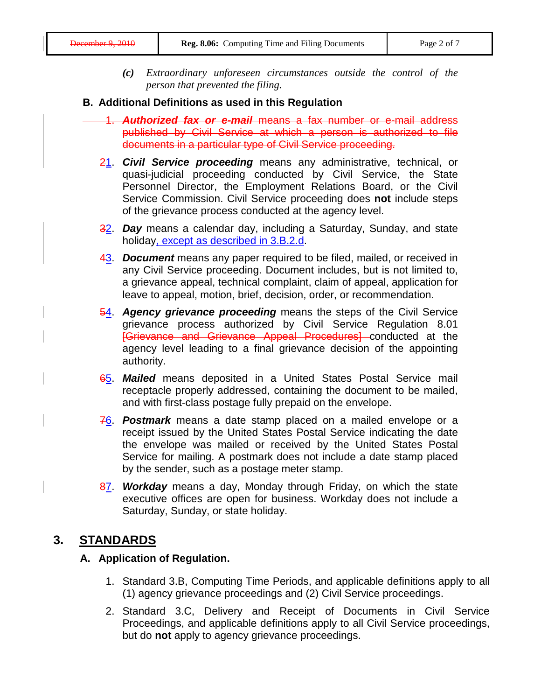*(c) Extraordinary unforeseen circumstances outside the control of the person that prevented the filing.*

### **B. Additional Definitions as used in this Regulation**

- 1. *Authorized fax or e-mail* means a fax number or e-mail address published by Civil Service at which a person is authorized to file documents in a particular type of Civil Service proceeding.
	- 21. *Civil Service proceeding* means any administrative, technical, or quasi-judicial proceeding conducted by Civil Service, the State Personnel Director, the Employment Relations Board, or the Civil Service Commission. Civil Service proceeding does **not** include steps of the grievance process conducted at the agency level.
	- 32. *Day* means a calendar day, including a Saturday, Sunday, and state holiday, except as described in 3.B.2.d.
	- 43. *Document* means any paper required to be filed, mailed, or received in any Civil Service proceeding. Document includes, but is not limited to, a grievance appeal, technical complaint, claim of appeal, application for leave to appeal, motion, brief, decision, order, or recommendation.
	- **54. Agency grievance proceeding** means the steps of the Civil Service grievance process authorized by Civil Service Regulation 8.01 [Grievance and Grievance Appeal Procedures] conducted at the agency level leading to a final grievance decision of the appointing authority.
	- 65. *Mailed* means deposited in a United States Postal Service mail receptacle properly addressed, containing the document to be mailed, and with first-class postage fully prepaid on the envelope.
	- 76. *Postmark* means a date stamp placed on a mailed envelope or a receipt issued by the United States Postal Service indicating the date the envelope was mailed or received by the United States Postal Service for mailing. A postmark does not include a date stamp placed by the sender, such as a postage meter stamp.
	- 87. *Workday* means a day, Monday through Friday, on which the state executive offices are open for business. Workday does not include a Saturday, Sunday, or state holiday.

# **3. STANDARDS**

## **A. Application of Regulation.**

- 1. Standard 3.B, Computing Time Periods, and applicable definitions apply to all (1) agency grievance proceedings and (2) Civil Service proceedings.
- 2. Standard 3.C, Delivery and Receipt of Documents in Civil Service Proceedings, and applicable definitions apply to all Civil Service proceedings, but do **not** apply to agency grievance proceedings.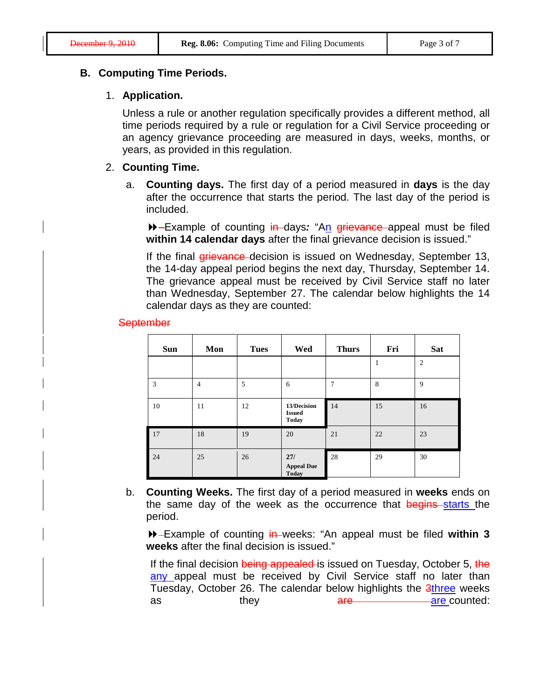#### **B. Computing Time Periods.**

#### 1. **Application.**

Unless a rule or another regulation specifically provides a different method, all time periods required by a rule or regulation for a Civil Service proceeding or an agency grievance proceeding are measured in days, weeks, months, or years, as provided in this regulation.

#### 2. **Counting Time.**

a. **Counting days.** The first day of a period measured in **days** is the day after the occurrence that starts the period. The last day of the period is included.

 Example of counting in days*:* "An grievance appeal must be filed **within 14 calendar days** after the final grievance decision is issued."

If the final *grievance* decision is issued on Wednesday, September 13, the 14-day appeal period begins the next day, Thursday, September 14. The grievance appeal must be received by Civil Service staff no later than Wednesday, September 27. The calendar below highlights the 14 calendar days as they are counted:

#### **September**

| <b>Sun</b> | Mon            | <b>Tues</b> | Wed                                          | <b>Thurs</b> | Fri | <b>Sat</b>     |
|------------|----------------|-------------|----------------------------------------------|--------------|-----|----------------|
|            |                |             |                                              |              |     | $\overline{c}$ |
| 3          | $\overline{4}$ | 5           | 6                                            | 7            | 8   | 9              |
| 10         | 11             | 12          | 13/Decision<br><b>Issued</b><br><b>Today</b> | 14           | 15  | 16             |
| 17         | 18             | 19          | 20                                           | 21           | 22  | 23             |
| 24         | 25             | 26          | 27/<br><b>Appeal Due</b><br><b>Today</b>     | 28           | 29  | 30             |

b. **Counting Weeks.** The first day of a period measured in **weeks** ends on the same day of the week as the occurrence that begins starts the period.

 Example of counting in weeks: "An appeal must be filed **within 3 weeks** after the final decision is issued."

If the final decision being appealed is issued on Tuesday, October 5, the any appeal must be received by Civil Service staff no later than Tuesday, October 26. The calendar below highlights the 3three weeks as they are are are counted: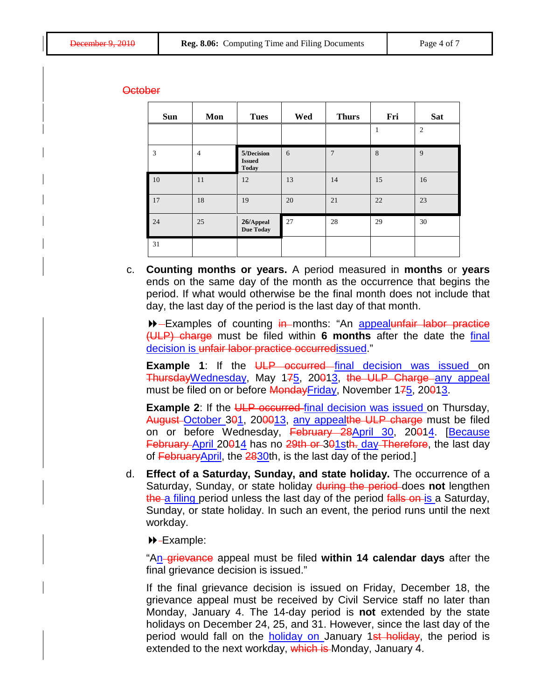#### October

| <b>Sun</b> | Mon            | <b>Tues</b>                                 | Wed | <b>Thurs</b>   | Fri | <b>Sat</b>     |
|------------|----------------|---------------------------------------------|-----|----------------|-----|----------------|
|            |                |                                             |     |                | 1   | $\overline{2}$ |
| 3          | $\overline{4}$ | 5/Decision<br><b>Issued</b><br><b>Today</b> | 6   | $\overline{7}$ | 8   | 9              |
| 10         | 11             | 12                                          | 13  | 14             | 15  | 16             |
| 17         | 18             | 19                                          | 20  | 21             | 22  | 23             |
| 24         | 25             | 26/Appeal<br><b>Due Today</b>               | 27  | 28             | 29  | 30             |
| 31         |                |                                             |     |                |     |                |

c. **Counting months or years.** A period measured in **months** or **years** ends on the same day of the month as the occurrence that begins the period. If what would otherwise be the final month does not include that day, the last day of the period is the last day of that month.

**Examples of counting in months: "An appealunfair labor practice** (ULP) charge must be filed within **6 months** after the date the final decision is unfair labor practice occurredissued."

**Example 1:** If the ULP occurred final decision was issued on ThursdayWednesday, May 175, 20013, the ULP Charge any appeal must be filed on or before MondayFriday, November 175, 20013.

**Example 2:** If the ULP occurred final decision was issued on Thursday, August October 301, 200013, any appealthe ULP charge must be filed on or before Wednesday, February 28April 30, 20014. [Because February April 20014 has no 29th or 301sth. day Therefore, the last day of  $F<sub>e</sub>$ bruaryApril, the 2830th, is the last day of the period.]

d. **Effect of a Saturday, Sunday, and state holiday.** The occurrence of a Saturday, Sunday, or state holiday during the period does **not** lengthen the a filing period unless the last day of the period falls on is a Saturday, Sunday, or state holiday. In such an event, the period runs until the next workday.

**D**-Example:

"An-grievance appeal must be filed within 14 calendar days after the final grievance decision is issued."

If the final grievance decision is issued on Friday, December 18, the grievance appeal must be received by Civil Service staff no later than Monday, January 4. The 14-day period is **not** extended by the state holidays on December 24, 25, and 31. However, since the last day of the period would fall on the **holiday on** January 1st holiday, the period is extended to the next workday, which is Monday, January 4.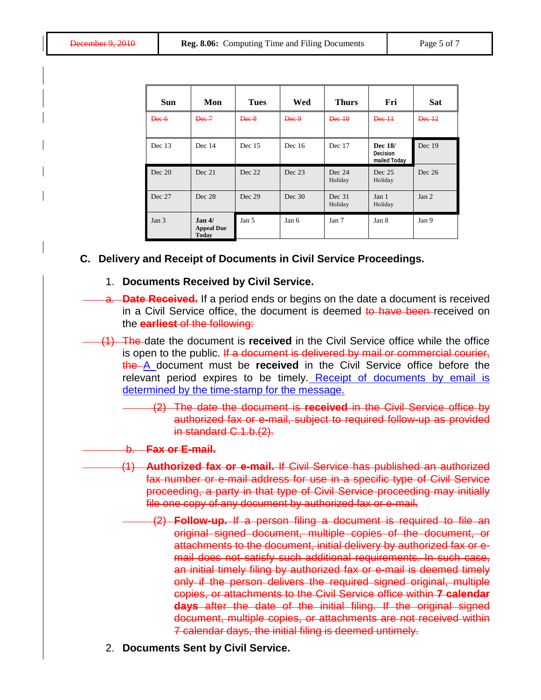| <b>Sun</b> | Mon                                                     | <b>Tues</b> | Wed    | <b>Thurs</b>      | Fri                                 | <b>Sat</b>       |
|------------|---------------------------------------------------------|-------------|--------|-------------------|-------------------------------------|------------------|
| Dee 6      | Dec 7                                                   | Dec 8       | Dee 9  | Dec 10            | Dec 11                              | Dec 12           |
| Dec $13$   | Dec 14                                                  | Dec 15      | Dec 16 | Dec 17            | Dec 18/<br>Decision<br>mailed Today | Dec 19           |
| Dec 20     | Dec 21                                                  | Dec 22      | Dec 23 | Dec 24<br>Holiday | Dec 25<br>Holiday                   | Dec 26           |
| Dec 27     | Dec 28                                                  | Dec 29      | Dec 30 | Dec 31<br>Holiday | Jan 1<br>Holiday                    | Jan <sub>2</sub> |
| Jan 3      | Jan <sub>4</sub> /<br><b>Appeal Due</b><br><b>Today</b> | Jan 5       | Jan 6  | Jan 7             | Jan 8                               | Jan 9            |

#### **C. Delivery and Receipt of Documents in Civil Service Proceedings.**

#### 1. **Documents Received by Civil Service.**

- a. **Date Received.** If a period ends or begins on the date a document is received in a Civil Service office, the document is deemed to have been received on the **earliest** of the following:
- (1) The date the document is **received** in the Civil Service office while the office is open to the public. If a document is delivered by mail or commercial courier, the A document must be **received** in the Civil Service office before the relevant period expires to be timely. Receipt of documents by email is determined by the time-stamp for the message.
	- (2) The date the document is **received** in the Civil Service office by authorized fax or e-mail, subject to required follow-up as provided in standard C.1.b.(2).
	- b. **Fax or E-mail.**
	- (1) **Authorized fax or e-mail.** If Civil Service has published an authorized fax number or e-mail address for use in a specific type of Civil Service proceeding, a party in that type of Civil Service proceeding may initially file one copy of any document by authorized fax or e-mail.
		- (2) **Follow-up.** If a person filing a document is required to file an original signed document, multiple copies of the document, or attachments to the document, initial delivery by authorized fax or email does not satisfy such additional requirements. In such case, an initial timely filing by authorized fax or e-mail is deemed timely only if the person delivers the required signed original, multiple copies, or attachments to the Civil Service office within **7 calendar days** after the date of the initial filing. If the original signed document, multiple copies, or attachments are not received within 7 calendar days, the initial filing is deemed untimely.
	- 2. **Documents Sent by Civil Service.**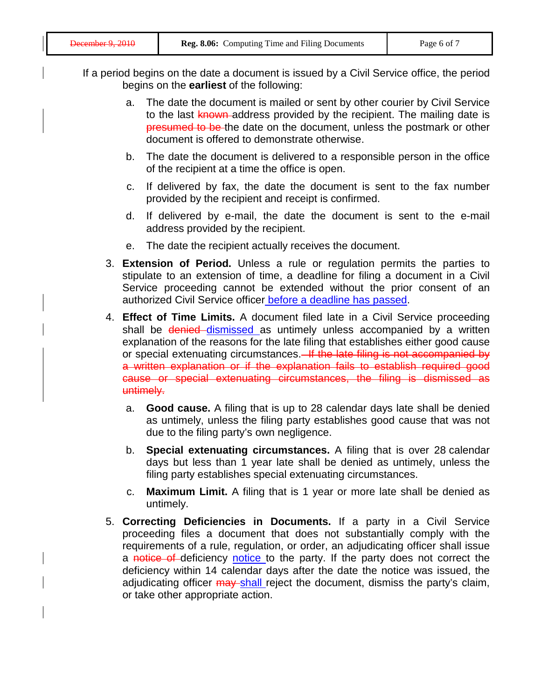- If a period begins on the date a document is issued by a Civil Service office, the period begins on the **earliest** of the following:
	- a. The date the document is mailed or sent by other courier by Civil Service to the last known address provided by the recipient. The mailing date is presumed to be the date on the document, unless the postmark or other document is offered to demonstrate otherwise.
	- b. The date the document is delivered to a responsible person in the office of the recipient at a time the office is open.
	- c. If delivered by fax, the date the document is sent to the fax number provided by the recipient and receipt is confirmed.
	- d. If delivered by e-mail, the date the document is sent to the e-mail address provided by the recipient.
	- e. The date the recipient actually receives the document.
	- 3. **Extension of Period.** Unless a rule or regulation permits the parties to stipulate to an extension of time, a deadline for filing a document in a Civil Service proceeding cannot be extended without the prior consent of an authorized Civil Service officer before a deadline has passed.
	- 4. **Effect of Time Limits.** A document filed late in a Civil Service proceeding shall be denied dismissed as untimely unless accompanied by a written explanation of the reasons for the late filing that establishes either good cause or special extenuating circumstances. If the late filing is not accompanied by a written explanation or if the explanation fails to establish required good cause or special extenuating circumstances, the filing is dismissed as untimely.
		- a. **Good cause.** A filing that is up to 28 calendar days late shall be denied as untimely, unless the filing party establishes good cause that was not due to the filing party's own negligence.
		- b. **Special extenuating circumstances.** A filing that is over 28 calendar days but less than 1 year late shall be denied as untimely, unless the filing party establishes special extenuating circumstances.
		- c. **Maximum Limit.** A filing that is 1 year or more late shall be denied as untimely.
	- 5. **Correcting Deficiencies in Documents.** If a party in a Civil Service proceeding files a document that does not substantially comply with the requirements of a rule, regulation, or order, an adjudicating officer shall issue a notice of deficiency notice to the party. If the party does not correct the deficiency within 14 calendar days after the date the notice was issued, the adjudicating officer may shall reject the document, dismiss the party's claim, or take other appropriate action.